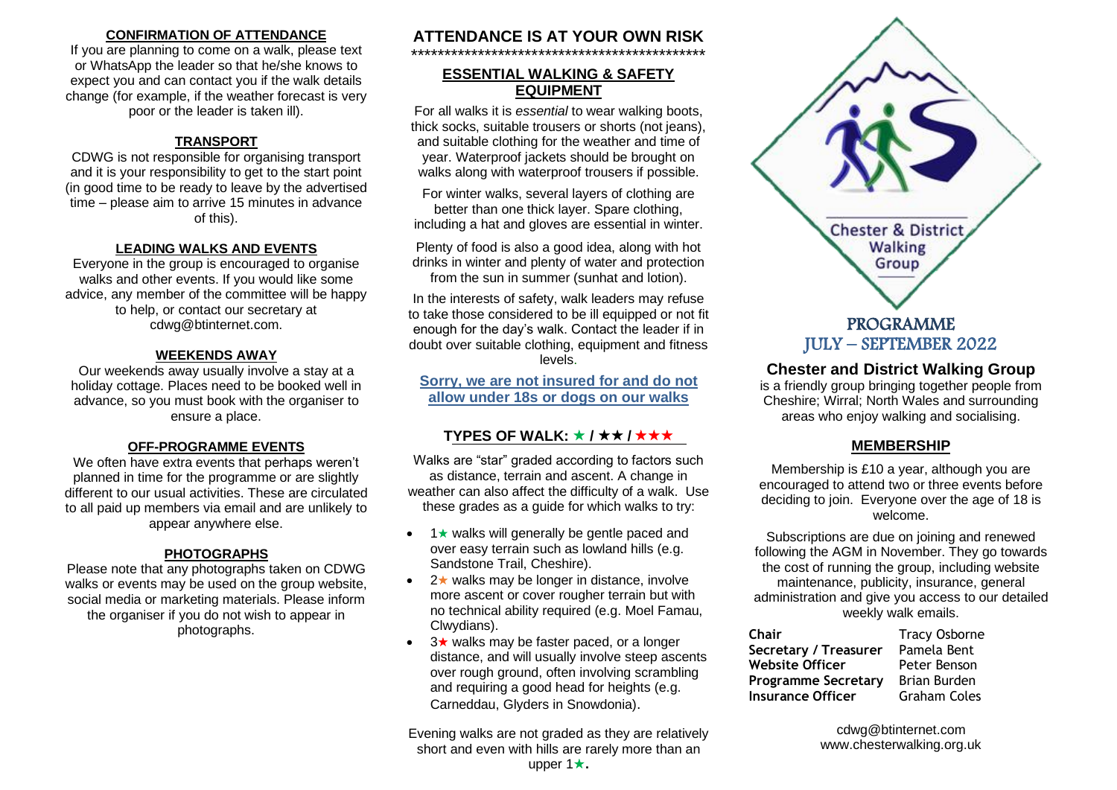## **CONFIRMATION OF ATTENDANCE**

If you are planning to come on a walk, please text or WhatsApp the leader so that he/she knows to expect you and can contact you if the walk details change (for example, if the weather forecast is very poor or the leader is taken ill).

## **TRANSPORT**

CDWG is not responsible for organising transport and it is your responsibility to get to the start point (in good time to be ready to leave by the advertised time – please aim to arrive 15 minutes in advance of this).

#### **LEADING WALKS AND EVENTS**

Everyone in the group is encouraged to organise walks and other events. If you would like some advice, any member of the committee will be happy to help, or contact our secretary at cdwg@btinternet.com.

### **WEEKENDS AWAY**

Our weekends away usually involve a stay at a holiday cottage. Places need to be booked well in advance, so you must book with the organiser to ensure a place.

## **OFF-PROGRAMME EVENTS**

We often have extra events that perhaps weren't planned in time for the programme or are slightly different to our usual activities. These are circulated to all paid up members via email and are unlikely to appear anywhere else.

## **PHOTOGRAPHS**

Please note that any photographs taken on CDWG walks or events may be used on the group website, social media or marketing materials. Please inform the organiser if you do not wish to appear in photographs.

#### **ATTENDANCE IS AT YOUR OWN RISK** \*\*\*\*\*\*\*\*\*\*\*\*\*\*\*\*\*\*\*\*\*\*\*\*\*\*\*\*\*\*\*\*\*\*\*\*\*\*\*\*\*\*\*\*

## **ESSENTIAL WALKING & SAFETY EQUIPMENT**

For all walks it is *essential* to wear walking boots, thick socks, suitable trousers or shorts (not jeans), and suitable clothing for the weather and time of year. Waterproof jackets should be brought on walks along with waterproof trousers if possible.

For winter walks, several layers of clothing are better than one thick layer. Spare clothing, including a hat and gloves are essential in winter.

Plenty of food is also a good idea, along with hot drinks in winter and plenty of water and protection from the sun in summer (sunhat and lotion).

In the interests of safety, walk leaders may refuse to take those considered to be ill equipped or not fit enough for the day's walk. Contact the leader if in doubt over suitable clothing, equipment and fitness levels.

**Sorry, we are not insured for and do not allow under 18s or dogs on our walks**

## **TYPES OF WALK:**  $\star$  /  $\star$   $\star$  /  $\star$   $\star$   $\star$

Walks are "star" graded according to factors such as distance, terrain and ascent. A change in weather can also affect the difficulty of a walk. Use these grades as a guide for which walks to try:

- $\bullet$  1  $\star$  walks will generally be gentle paced and over easy terrain such as lowland hills (e.g. Sandstone Trail, Cheshire).
- $2\star$  walks may be longer in distance, involve more ascent or cover rougher terrain but with no technical ability required (e.g. Moel Famau, Clwydians).
- $3\star$  walks may be faster paced, or a longer distance, and will usually involve steep ascents over rough ground, often involving scrambling and requiring a good head for heights (e.g. Carneddau, Glyders in Snowdonia).

Evening walks are not graded as they are relatively short and even with hills are rarely more than an upper  $1\star$ .



## **Chester and District Walking Group**

is a friendly group bringing together people from Cheshire; Wirral; North Wales and surrounding areas who enjoy walking and socialising.

## **MEMBERSHIP**

Membership is £10 a year, although you are encouraged to attend two or three events before deciding to join. Everyone over the age of 18 is welcome.

Subscriptions are due on joining and renewed following the AGM in November. They go towards the cost of running the group, including website maintenance, publicity, insurance, general administration and give you access to our detailed weekly walk emails.

| Chair                      | <b>Tracy Osborne</b> |
|----------------------------|----------------------|
| Secretary / Treasurer      | Pamela Bent          |
| <b>Website Officer</b>     | Peter Benson         |
| <b>Programme Secretary</b> | Brian Burden         |
| <b>Insurance Officer</b>   | <b>Graham Coles</b>  |

cdwg@btinternet.com www.chesterwalking.org.uk